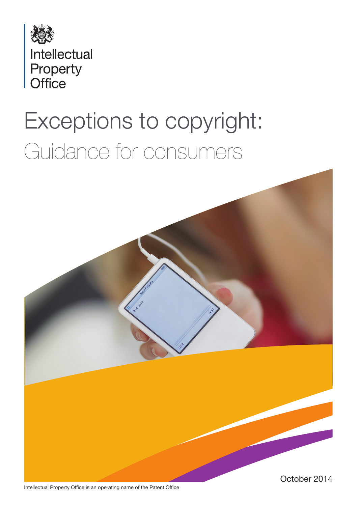

# Exceptions to copyright: Guidance for consumers



Intellectual Property Office is an operating name of the Patent Office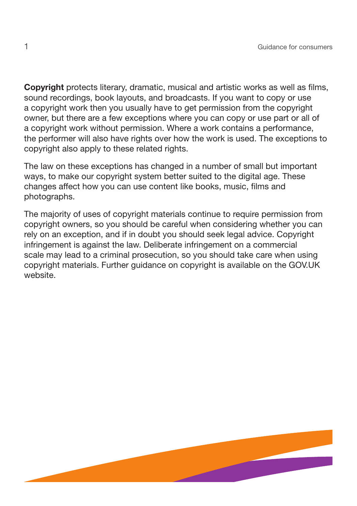Copyright protects literary, dramatic, musical and artistic works as well as films, sound recordings, book layouts, and broadcasts. If you want to copy or use a copyright work then you usually have to get permission from the copyright owner, but there are a few exceptions where you can copy or use part or all of a copyright work without permission. Where a work contains a performance, the performer will also have rights over how the work is used. The exceptions to copyright also apply to these related rights.

The law on these exceptions has changed in a number of small but important ways, to make our copyright system better suited to the digital age. These changes affect how you can use content like books, music, films and photographs.

The majority of uses of copyright materials continue to require permission from copyright owners, so you should be careful when considering whether you can rely on an exception, and if in doubt you should seek legal advice. Copyright infringement is against the law. Deliberate infringement on a commercial scale may lead to a criminal prosecution, so you should take care when using copyright materials. Further guidance on copyright is available on the GOV.UK website.

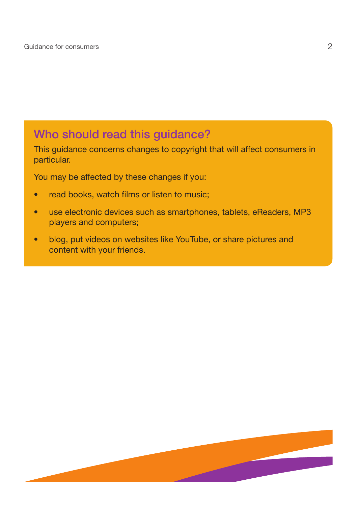## Who should read this guidance?

This guidance concerns changes to copyright that will affect consumers in particular.

You may be affected by these changes if you:

- read books, watch films or listen to music;
- use electronic devices such as smartphones, tablets, eReaders, MP3 players and computers;
- blog, put videos on websites like YouTube, or share pictures and content with your friends.

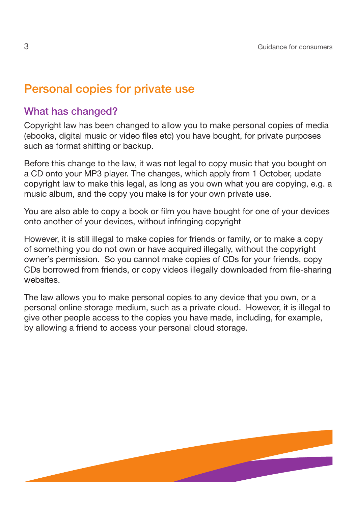## Personal copies for private use

## What has changed?

Copyright law has been changed to allow you to make personal copies of media (ebooks, digital music or video files etc) you have bought, for private purposes such as format shifting or backup.

Before this change to the law, it was not legal to copy music that you bought on a CD onto your MP3 player. The changes, which apply from 1 October, update copyright law to make this legal, as long as you own what you are copying, e.g. a music album, and the copy you make is for your own private use.

You are also able to copy a book or film you have bought for one of your devices onto another of your devices, without infringing copyright

However, it is still illegal to make copies for friends or family, or to make a copy of something you do not own or have acquired illegally, without the copyright owner's permission. So you cannot make copies of CDs for your friends, copy CDs borrowed from friends, or copy videos illegally downloaded from file-sharing websites.

The law allows you to make personal copies to any device that you own, or a personal online storage medium, such as a private cloud. However, it is illegal to give other people access to the copies you have made, including, for example, by allowing a friend to access your personal cloud storage.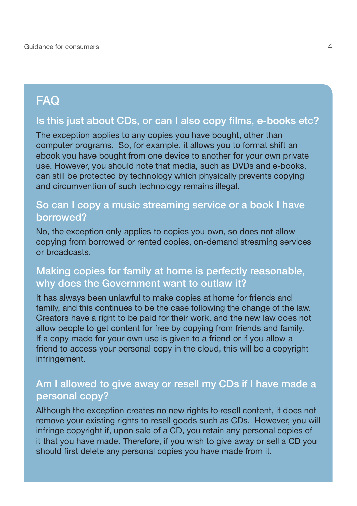## **FAQ**

## Is this just about CDs, or can I also copy films, e-books etc?

The exception applies to any copies you have bought, other than computer programs. So, for example, it allows you to format shift an ebook you have bought from one device to another for your own private use. However, you should note that media, such as DVDs and e-books, can still be protected by technology which physically prevents copying and circumvention of such technology remains illegal.

## So can I copy a music streaming service or a book I have borrowed?

No, the exception only applies to copies you own, so does not allow copying from borrowed or rented copies, on-demand streaming services or broadcasts.

#### Making copies for family at home is perfectly reasonable, why does the Government want to outlaw it?

It has always been unlawful to make copies at home for friends and family, and this continues to be the case following the change of the law. Creators have a right to be paid for their work, and the new law does not allow people to get content for free by copying from friends and family. If a copy made for your own use is given to a friend or if you allow a friend to access your personal copy in the cloud, this will be a copyright infringement.

#### Am I allowed to give away or resell my CDs if I have made a personal copy?

Although the exception creates no new rights to resell content, it does not remove your existing rights to resell goods such as CDs. However, you will infringe copyright if, upon sale of a CD, you retain any personal copies of it that you have made. Therefore, if you wish to give away or sell a CD you should first delete any personal copies you have made from it.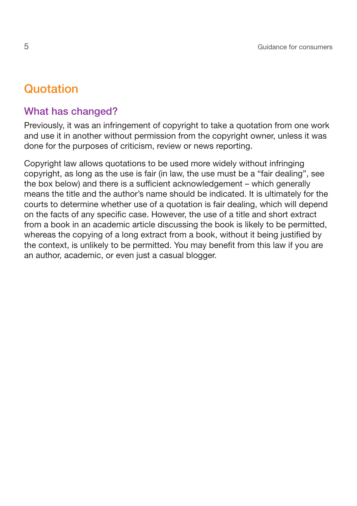## **Quotation**

## What has changed?

Previously, it was an infringement of copyright to take a quotation from one work and use it in another without permission from the copyright owner, unless it was done for the purposes of criticism, review or news reporting.

Copyright law allows quotations to be used more widely without infringing copyright, as long as the use is fair (in law, the use must be a "fair dealing", see the box below) and there is a sufficient acknowledgement – which generally means the title and the author's name should be indicated. It is ultimately for the courts to determine whether use of a quotation is fair dealing, which will depend on the facts of any specific case. However, the use of a title and short extract from a book in an academic article discussing the book is likely to be permitted, whereas the copying of a long extract from a book, without it being justified by the context, is unlikely to be permitted. You may benefit from this law if you are an author, academic, or even just a casual blogger.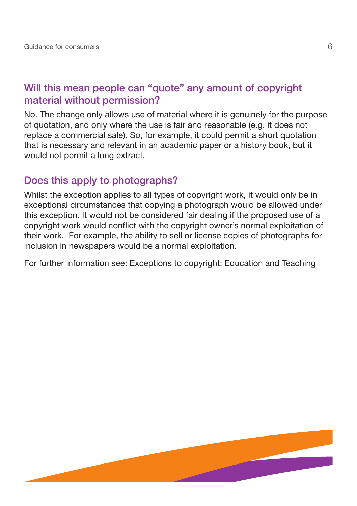## Will this mean people can "quote" any amount of copyright material without permission?

No. The change only allows use of material where it is genuinely for the purpose of quotation, and only where the use is fair and reasonable (e.g. it does not replace a commercial sale). So, for example, it could permit a short quotation that is necessary and relevant in an academic paper or a history book, but it would not permit a long extract.

#### Does this apply to photographs?

Whilst the exception applies to all types of copyright work, it would only be in exceptional circumstances that copying a photograph would be allowed under this exception. It would not be considered fair dealing if the proposed use of a copyright work would conflict with the copyright owner's normal exploitation of their work. For example, the ability to sell or license copies of photographs for inclusion in newspapers would be a normal exploitation.

For further information see: Exceptions to copyright: Education and Teaching

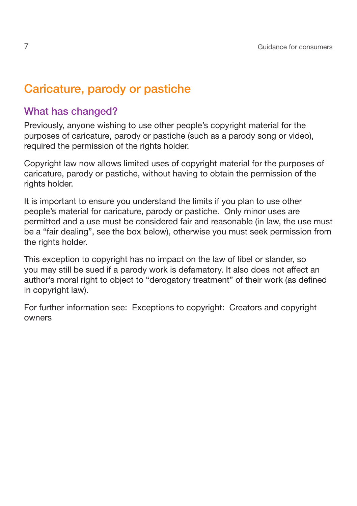## Caricature, parody or pastiche

### What has changed?

Previously, anyone wishing to use other people's copyright material for the purposes of caricature, parody or pastiche (such as a parody song or video), required the permission of the rights holder.

Copyright law now allows limited uses of copyright material for the purposes of caricature, parody or pastiche, without having to obtain the permission of the rights holder.

It is important to ensure you understand the limits if you plan to use other people's material for caricature, parody or pastiche. Only minor uses are permitted and a use must be considered fair and reasonable (in law, the use must be a "fair dealing", see the box below), otherwise you must seek permission from the rights holder.

This exception to copyright has no impact on the law of libel or slander, so you may still be sued if a parody work is defamatory. It also does not affect an author's moral right to object to "derogatory treatment" of their work (as defined in copyright law).

For further information see: Exceptions to copyright: Creators and copyright owners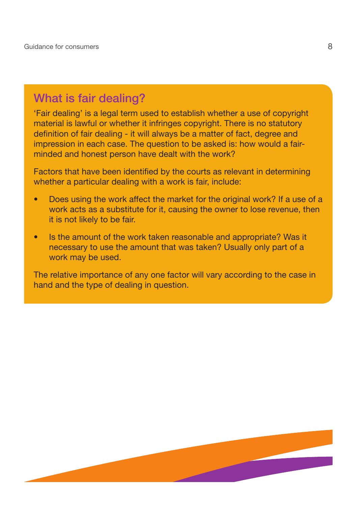## What is fair dealing?

'Fair dealing' is a legal term used to establish whether a use of copyright material is lawful or whether it infringes copyright. There is no statutory definition of fair dealing - it will always be a matter of fact, degree and impression in each case. The question to be asked is: how would a fairminded and honest person have dealt with the work?

Factors that have been identified by the courts as relevant in determining whether a particular dealing with a work is fair, include:

- Does using the work affect the market for the original work? If a use of a work acts as a substitute for it, causing the owner to lose revenue, then it is not likely to be fair.
- Is the amount of the work taken reasonable and appropriate? Was it necessary to use the amount that was taken? Usually only part of a work may be used.

The relative importance of any one factor will vary according to the case in hand and the type of dealing in question.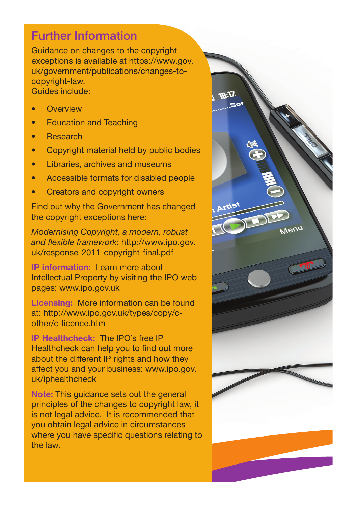## Further Information

Guidance on changes to the copyright exceptions is available at https://www.gov. uk/government/publications/changes-tocopyright-law. Guides include:

- **Overview**
- Education and Teaching
- Research
- Copyright material held by public bodies
- Libraries, archives and museums
- Accessible formats for disabled people
- Creators and copyright owners

Find out why the Government has changed the copyright exceptions here:

*Modernising Copyright, a modern, robust and flexible framework*: http://www.ipo.gov. uk/response-2011-copyright-final.pdf

IP information: Learn more about Intellectual Property by visiting the IPO web pages: www.ipo.gov.uk

Licensing: More information can be found at: http://www.ipo.gov.uk/types/copy/cother/c-licence.htm

IP Healthcheck: The IPO's free IP Healthcheck can help you to find out more about the different IP rights and how they affect you and your business: www.ipo.gov. uk/iphealthcheck

Note: This guidance sets out the general principles of the changes to copyright law, it is not legal advice. It is recommended that you obtain legal advice in circumstances where you have specific questions relating to the law.